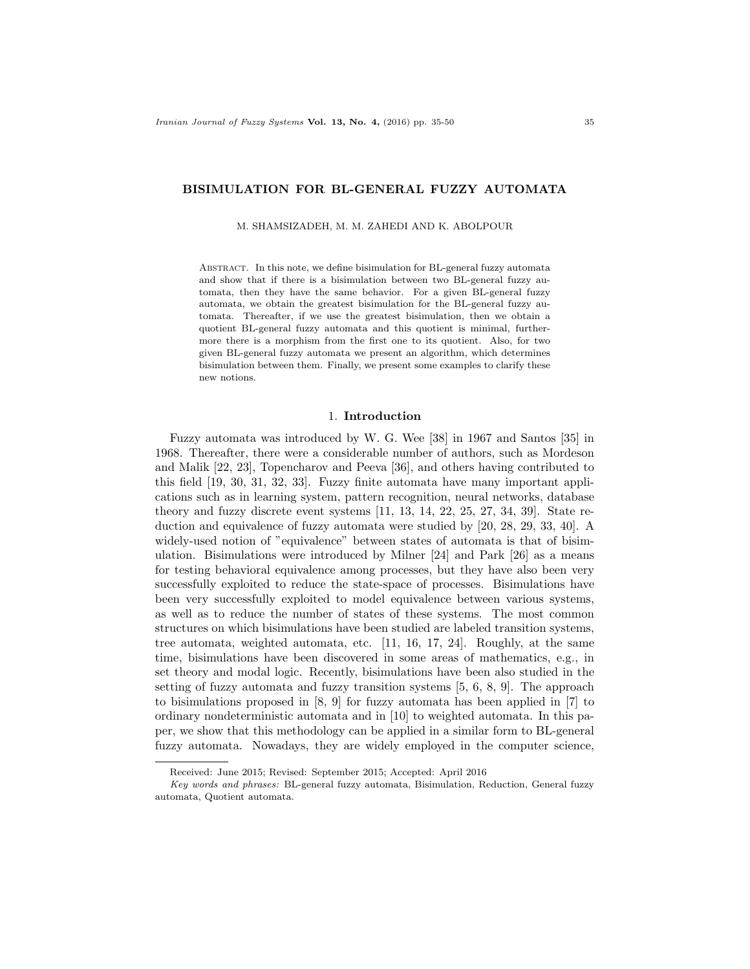## BISIMULATION FOR BL-GENERAL FUZZY AUTOMATA

M. SHAMSIZADEH, M. M. ZAHEDI AND K. ABOLPOUR

Abstract. In this note, we define bisimulation for BL-general fuzzy automata and show that if there is a bisimulation between two BL-general fuzzy automata, then they have the same behavior. For a given BL-general fuzzy automata, we obtain the greatest bisimulation for the BL-general fuzzy automata. Thereafter, if we use the greatest bisimulation, then we obtain a quotient BL-general fuzzy automata and this quotient is minimal, furthermore there is a morphism from the first one to its quotient. Also, for two given BL-general fuzzy automata we present an algorithm, which determines bisimulation between them. Finally, we present some examples to clarify these new notions.

#### 1. Introduction

Fuzzy automata was introduced by W. G. Wee [38] in 1967 and Santos [35] in 1968. Thereafter, there were a considerable number of authors, such as Mordeson and Malik [22, 23], Topencharov and Peeva [36], and others having contributed to this field [19, 30, 31, 32, 33]. Fuzzy finite automata have many important applications such as in learning system, pattern recognition, neural networks, database theory and fuzzy discrete event systems [11, 13, 14, 22, 25, 27, 34, 39]. State reduction and equivalence of fuzzy automata were studied by [20, 28, 29, 33, 40]. A widely-used notion of "equivalence" between states of automata is that of bisimulation. Bisimulations were introduced by Milner [24] and Park [26] as a means for testing behavioral equivalence among processes, but they have also been very successfully exploited to reduce the state-space of processes. Bisimulations have been very successfully exploited to model equivalence between various systems, as well as to reduce the number of states of these systems. The most common structures on which bisimulations have been studied are labeled transition systems, tree automata, weighted automata, etc. [11, 16, 17, 24]. Roughly, at the same time, bisimulations have been discovered in some areas of mathematics, e.g., in set theory and modal logic. Recently, bisimulations have been also studied in the setting of fuzzy automata and fuzzy transition systems [5, 6, 8, 9]. The approach to bisimulations proposed in [8, 9] for fuzzy automata has been applied in [7] to ordinary nondeterministic automata and in [10] to weighted automata. In this paper, we show that this methodology can be applied in a similar form to BL-general fuzzy automata. Nowadays, they are widely employed in the computer science,

Received: June 2015; Revised: September 2015; Accepted: April 2016

Key words and phrases: BL-general fuzzy automata, Bisimulation, Reduction, General fuzzy automata, Quotient automata.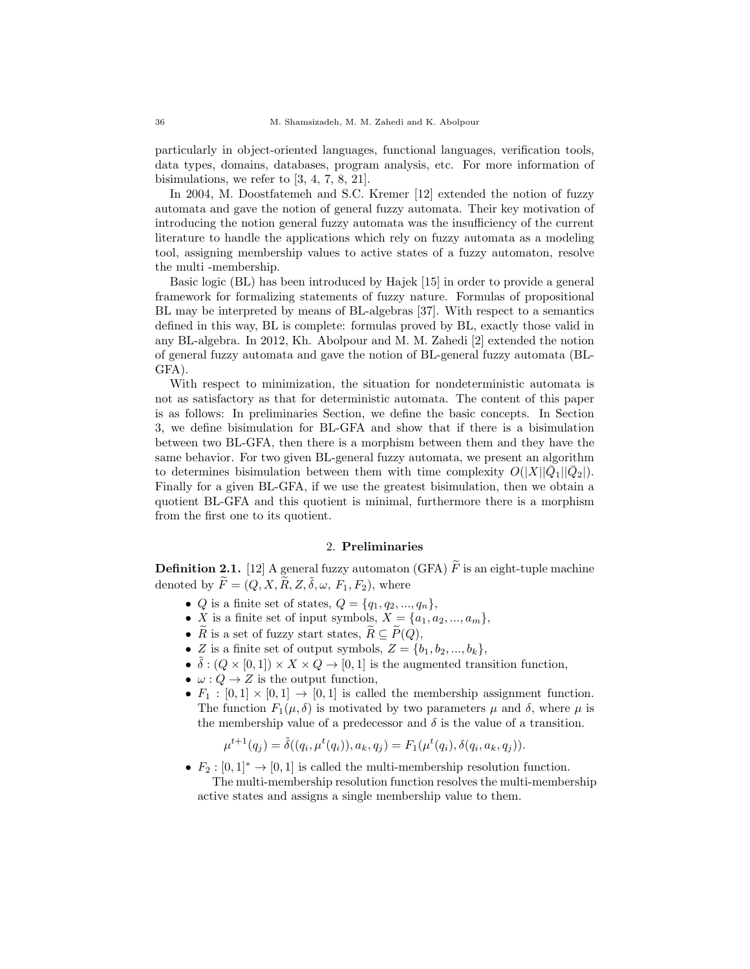particularly in object-oriented languages, functional languages, verification tools, data types, domains, databases, program analysis, etc. For more information of bisimulations, we refer to [3, 4, 7, 8, 21].

In 2004, M. Doostfatemeh and S.C. Kremer [12] extended the notion of fuzzy automata and gave the notion of general fuzzy automata. Their key motivation of introducing the notion general fuzzy automata was the insufficiency of the current literature to handle the applications which rely on fuzzy automata as a modeling tool, assigning membership values to active states of a fuzzy automaton, resolve the multi -membership.

Basic logic (BL) has been introduced by Hajek [15] in order to provide a general framework for formalizing statements of fuzzy nature. Formulas of propositional BL may be interpreted by means of BL-algebras [37]. With respect to a semantics defined in this way, BL is complete: formulas proved by BL, exactly those valid in any BL-algebra. In 2012, Kh. Abolpour and M. M. Zahedi [2] extended the notion of general fuzzy automata and gave the notion of BL-general fuzzy automata (BL-GFA).

With respect to minimization, the situation for nondeterministic automata is not as satisfactory as that for deterministic automata. The content of this paper is as follows: In preliminaries Section, we define the basic concepts. In Section 3, we define bisimulation for BL-GFA and show that if there is a bisimulation between two BL-GFA, then there is a morphism between them and they have the same behavior. For two given BL-general fuzzy automata, we present an algorithm to determines bisimulation between them with time complexity  $O(|X||\overline{Q}_1||\overline{Q}_2|)$ . Finally for a given BL-GFA, if we use the greatest bisimulation, then we obtain a quotient BL-GFA and this quotient is minimal, furthermore there is a morphism from the first one to its quotient.

# 2. Preliminaries

**Definition 2.1.** [12] A general fuzzy automaton (GFA)  $\widetilde{F}$  is an eight-tuple machine denoted by  $\widetilde{F} = (Q, X, \widetilde{R}, Z, \widetilde{\delta}, \omega, F_1, F_2)$ , where

- *Q* is a finite set of states,  $Q = \{q_1, q_2, ..., q_n\},\$
- X is a finite set of input symbols,  $X = \{a_1, a_2, ..., a_m\},\$
- $\tilde{R}$  is a set of fuzzy start states,  $\tilde{R} \subseteq \tilde{P}(Q)$ ,
- Z is a finite set of output symbols,  $Z = \{b_1, b_2, ..., b_k\},\$
- $\tilde{\delta}: (Q \times [0,1]) \times X \times Q \rightarrow [0,1]$  is the augmented transition function,
- $\omega: Q \to Z$  is the output function,
- $F_1 : [0,1] \times [0,1] \rightarrow [0,1]$  is called the membership assignment function. The function  $F_1(\mu, \delta)$  is motivated by two parameters  $\mu$  and  $\delta$ , where  $\mu$  is the membership value of a predecessor and  $\delta$  is the value of a transition.

$$
\mu^{t+1}(q_j) = \tilde{\delta}((q_i, \mu^t(q_i)), a_k, q_j) = F_1(\mu^t(q_i), \delta(q_i, a_k, q_j)).
$$

•  $F_2 : [0,1]^* \to [0,1]$  is called the multi-membership resolution function. The multi-membership resolution function resolves the multi-membership active states and assigns a single membership value to them.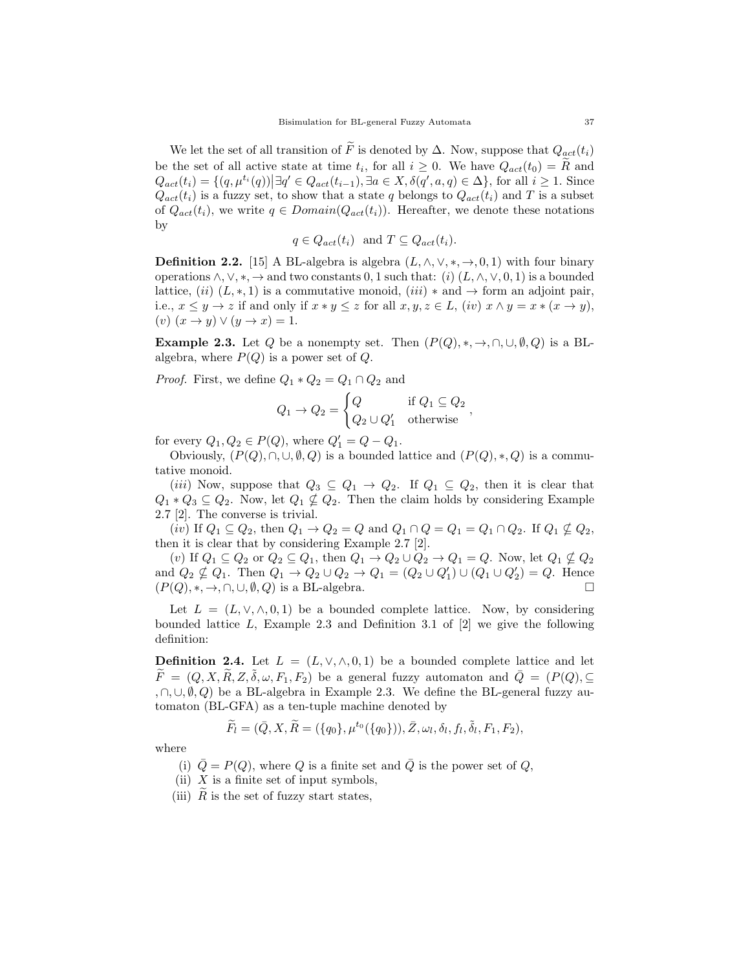We let the set of all transition of F is denoted by  $\Delta$ . Now, suppose that  $Q_{act}(t_i)$ be the set of all active state at time  $t_i$ , for all  $i \geq 0$ . We have  $Q_{act}(t_0) = R$  and  $Q_{act}(t_i) = \{(q, \mu^{t_i}(q)) | \exists q' \in Q_{act}(t_{i-1}), \exists a \in X, \delta(q', a, q) \in \Delta\}$ , for all  $i \geq 1$ . Since  $Q_{act}(t_i)$  is a fuzzy set, to show that a state q belongs to  $Q_{act}(t_i)$  and T is a subset of  $Q_{act}(t_i)$ , we write  $q \in Domain(Q_{act}(t_i))$ . Hereafter, we denote these notations by

$$
q \in Q_{act}(t_i)
$$
 and  $T \subseteq Q_{act}(t_i)$ .

**Definition 2.2.** [15] A BL-algebra is algebra  $(L, \wedge, \vee, *, \rightarrow, 0, 1)$  with four binary operations  $\wedge$ ,  $\vee$ ,  $\ast$ ,  $\rightarrow$  and two constants 0, 1 such that: (i)  $(L, \wedge, \vee, 0, 1)$  is a bounded lattice,  $(ii)$   $(L, *, 1)$  is a commutative monoid,  $(iii) *$  and  $\rightarrow$  form an adjoint pair, i.e.,  $x \leq y \to z$  if and only if  $x * y \leq z$  for all  $x, y, z \in L$ , (iv)  $x \wedge y = x * (x \to y)$ ,  $(v)$   $(x \rightarrow y) \vee (y \rightarrow x) = 1.$ 

**Example 2.3.** Let Q be a nonempty set. Then  $(P(Q), *, \rightarrow, \cap, \cup, \emptyset, Q)$  is a BLalgebra, where  $P(Q)$  is a power set of  $Q$ .

*Proof.* First, we define  $Q_1 * Q_2 = Q_1 \cap Q_2$  and

$$
Q_1 \to Q_2 = \begin{cases} Q & \text{if } Q_1 \subseteq Q_2 \\ Q_2 \cup Q'_1 & \text{otherwise} \end{cases}
$$

for every  $Q_1, Q_2 \in P(Q)$ , where  $Q'_1 = Q - Q_1$ .

Obviously,  $(P(Q), \cap, \cup, \emptyset, Q)$  is a bounded lattice and  $(P(Q), *, Q)$  is a commutative monoid.

(*iii*) Now, suppose that  $Q_3 \subseteq Q_1 \rightarrow Q_2$ . If  $Q_1 \subseteq Q_2$ , then it is clear that  $Q_1 * Q_3 \subseteq Q_2$ . Now, let  $Q_1 \nsubseteq Q_2$ . Then the claim holds by considering Example 2.7 [2]. The converse is trivial.

(iv) If  $Q_1 \subseteq Q_2$ , then  $Q_1 \rightarrow Q_2 = Q$  and  $Q_1 \cap Q = Q_1 = Q_1 \cap Q_2$ . If  $Q_1 \nsubseteq Q_2$ , then it is clear that by considering Example 2.7 [2].

 $(v)$  If  $Q_1 \subseteq Q_2$  or  $Q_2 \subseteq Q_1,$  then  $Q_1 \rightarrow Q_2 \cup Q_2 \rightarrow Q_1 = Q.$  Now, let  $Q_1 \nsubseteq Q_2$ and  $Q_2 \nsubseteq Q_1$ . Then  $Q_1 \to Q_2 \cup Q_2 \to Q_1 = (Q_2 \cup Q_1') \cup (Q_1 \cup Q_2') = Q$ . Hence  $(P(Q), *, \rightarrow, \cap, \cup, \emptyset, Q)$  is a BL-algebra.

Let  $L = (L, \vee, \wedge, 0, 1)$  be a bounded complete lattice. Now, by considering bounded lattice  $L$ , Example 2.3 and Definition 3.1 of  $[2]$  we give the following definition:

**Definition 2.4.** Let  $L = (L, \vee, \wedge, 0, 1)$  be a bounded complete lattice and let  $\widetilde{F} = (Q, X, \widetilde{R}, Z, \widetilde{\delta}, \omega, F_1, F_2)$  be a general fuzzy automaton and  $\overline{Q} = (P(Q), \subset$ ,  $\cap$ , ∪,  $\emptyset$ , Q) be a BL-algebra in Example 2.3. We define the BL-general fuzzy automaton (BL-GFA) as a ten-tuple machine denoted by

$$
\widetilde{F}_l = (\bar{Q}, X, \widetilde{R}) = (\{q_0\}, \mu^{t_0}(\{q_0\})), \bar{Z}, \omega_l, \delta_l, f_l, \tilde{\delta}_l, F_1, F_2),
$$

where

- (i)  $\overline{Q} = P(Q)$ , where Q is a finite set and  $\overline{Q}$  is the power set of Q,
- (ii)  $X$  is a finite set of input symbols,
- (iii)  $R$  is the set of fuzzy start states,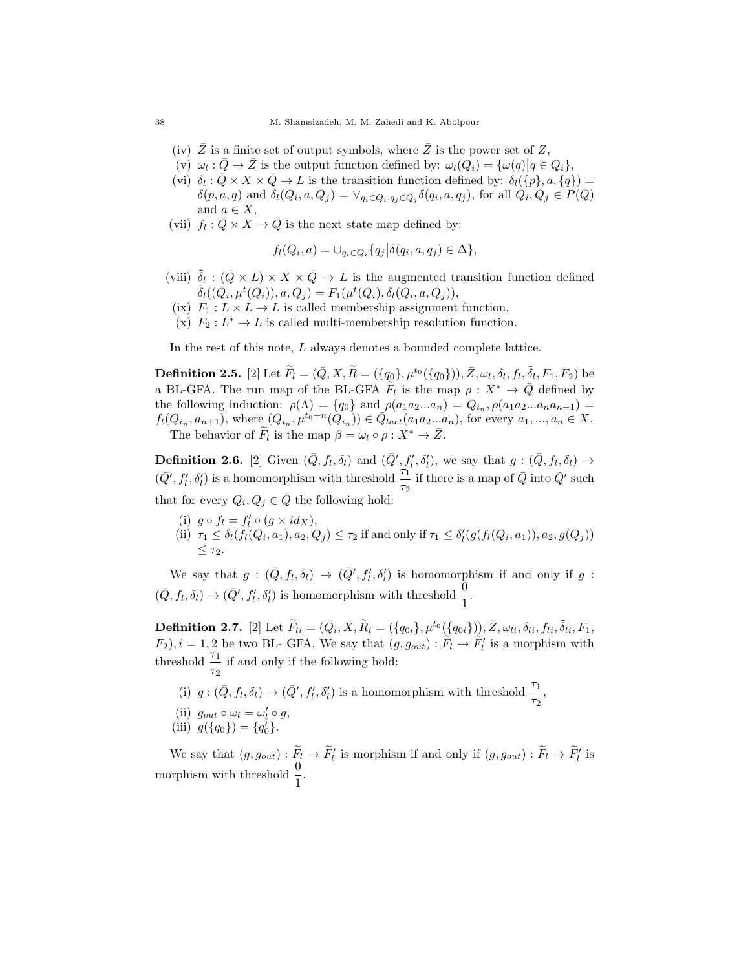- (iv)  $\overline{Z}$  is a finite set of output symbols, where  $\overline{Z}$  is the power set of Z,
- $(v)$   $\omega_l : \overline{Q} \to \overline{Z}$  is the output function defined by:  $\omega_l(Q_i) = {\omega(q) | q \in Q_i},$
- (vi)  $\delta_l : \bar{Q} \times X \times \bar{Q} \to L$  is the transition function defined by:  $\delta_l(\{p\}, a, \{q\}) =$  $\delta(p, a, q)$  and  $\delta_l(Q_i, a, Q_j) = \vee_{q_i \in Q_i, q_j \in Q_j} \delta(q_i, a, q_j)$ , for all  $Q_i, Q_j \in P(Q)$ and  $a \in X$ ,
- (vii)  $f_l : \overline{Q} \times X \to \overline{Q}$  is the next state map defined by:

$$
f_l(Q_i, a) = \bigcup_{q_i \in Q_i} \{q_j | \delta(q_i, a, q_j) \in \Delta \},
$$

- (viii)  $\tilde{\delta}_l$  :  $(\bar{Q} \times L) \times X \times \bar{Q} \to L$  is the augmented transition function defined  $\tilde{\delta}_l((Q_i, \mu^t(Q_i)), a, Q_j) = F_1(\mu^t(Q_i), \delta_l(Q_i, a, Q_j)),$
- (ix)  $F_1: L \times L \to L$  is called membership assignment function,
- (x)  $F_2: L^* \to L$  is called multi-membership resolution function.

In the rest of this note, L always denotes a bounded complete lattice.

**Definition 2.5.** [2] Let  $\widetilde{F}_l = (\bar{Q}, X, \widetilde{R}) = (\{q_0\}, \mu^{t_0}(\{q_0\})), \bar{Z}, \omega_l, \delta_l, f_l, \widetilde{\delta}_l, F_1, F_2)$  be a BL-GFA. The run map of the BL-GFA  $\tilde{F}_l$  is the map  $\rho: X^* \to \bar{Q}$  defined by the following induction:  $\rho(\Lambda) = \{q_0\}$  and  $\rho(a_1 a_2 ... a_n) = Q_{i_n}, \rho(a_1 a_2 ... a_n a_{n+1}) =$  $f_l(Q_{i_n}, a_{n+1})$ , where  $(Q_{i_n}, \mu^{t_0+n}(Q_{i_n})) \in \overline{Q}_{lact}(a_1 a_2 ... a_n)$ , for every  $a_1, ..., a_n \in X$ . The behavior of  $\widetilde{F}_l$  is the map  $\beta = \omega_l \circ \rho : X^* \to \overline{Z}$ .

**Definition 2.6.** [2] Given  $(\bar{Q}, f_l, \delta_l)$  and  $(\bar{Q}', f'_l, \delta'_l)$ , we say that  $g : (\bar{Q}, f_l, \delta_l) \rightarrow$  $(\bar{Q}', f'_l, \delta'_l)$  is a homomorphism with threshold  $\frac{\tau_1}{\tau_2}$  if there is a map of  $\bar{Q}$  into  $\bar{Q}'$  such that for every  $Q_i, Q_j \in \overline{Q}$  the following hold:

- (i)  $g \circ f_l = f'_l \circ (g \times id_X),$
- (ii)  $\tau_1 \leq \delta_l(f_l(Q_i, a_1), a_2, Q_j) \leq \tau_2$  if and only if  $\tau_1 \leq \delta'_l(g(f_l(Q_i, a_1)), a_2, g(Q_j))$  $\leq \tau_2$ .

We say that  $g: (\bar{Q}, f_l, \delta_l) \to (\bar{Q}', f'_l, \delta'_l)$  is homomorphism if and only if  $g$ :  $(\bar{Q}, f_l, \delta_l) \rightarrow (\bar{Q}', f'_l, \delta'_l)$  is homomorphism with threshold  $\frac{0}{1}$ .

**Definition 2.7.** [2] Let  $\widetilde{F}_{li} = (\bar{Q}_i, X, \widetilde{R}_i = (\{q_{0i}\}, \mu^{t_0}(\{q_{0i}\}))_{i, \widetilde{Z}, \omega_{li}, \delta_{li}, f_{li}, \widetilde{\delta}_{li}, F_1, \widetilde{\delta}_{li}, \widetilde{R}_i)$  $(F_2), i = 1, 2$  be two BL- GFA. We say that  $(g, g_{out}) : \tilde{F}_l \to \tilde{F}'_l$  is a morphism with threshold  $\frac{\tau_1}{\tau_2}$  if and only if the following hold:

(i)  $g: (\bar{Q}, f_l, \delta_l) \to (\bar{Q}', f'_l, \delta'_l)$  is a homomorphism with threshold  $\frac{\tau_1}{\tau_2}$ , (ii)  $g_{out} \circ \omega_l = \omega'_l \circ g,$ (iii)  $g({q_0}) = {q'_0}.$ 

We say that  $(g, g_{out}) : \widetilde{F}_l \to \widetilde{F}'_l$  is morphism if and only if  $(g, g_{out}) : \widetilde{F}_l \to \widetilde{F}'_l$  is morphism with threshold  $\frac{0}{1}$ .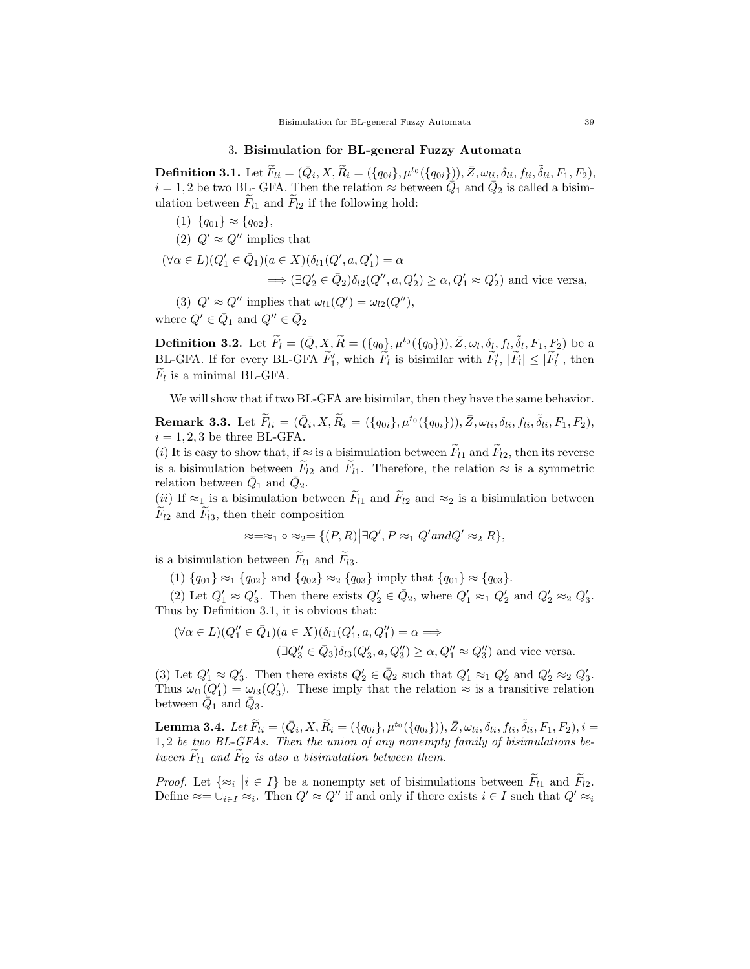## 3. Bisimulation for BL-general Fuzzy Automata

**Definition 3.1.** Let  $\widetilde{F}_{li} = (\bar{Q}_i, X, \widetilde{R}_i = (\{q_{0i}\}, \mu^{t_0}(\{q_{0i}\}), \bar{Z}, \omega_{li}, \delta_{li}, f_{li}, \delta_{li}, F_1, F_2),$  $i = 1, 2$  be two BL- GFA. Then the relation  $\approx$  between  $\overline{Q}_1$  and  $\overline{Q}_2$  is called a bisimulation between  $F_{l1}$  and  $F_{l2}$  if the following hold:

- (1)  $\{q_{01}\}\approx\{q_{02}\},\,$
- (2)  $Q' \approx Q''$  implies that

$$
(\forall \alpha \in L)(Q_1' \in \bar{Q}_1)(a \in X)(\delta_{l1}(Q', a, Q_1') = \alpha
$$
  

$$
\implies (\exists Q_2' \in \bar{Q}_2)\delta_{l2}(Q'', a, Q_2') \ge \alpha, Q_1' \approx Q_2')
$$
 and vice versa,

(3)  $Q' \approx Q''$  implies that  $\omega_{l1}(Q') = \omega_{l2}(Q'')$ , where  $Q' \in \bar{Q}_1$  and  $Q'' \in \bar{Q}_2$ 

**Definition 3.2.** Let  $\widetilde{F}_l = (\bar{Q}, X, \widetilde{R}) = (\{q_0\}, \mu^{t_0}(\{q_0\})), \bar{Z}, \omega_l, \delta_l, f_l, \widetilde{\delta}_l, F_1, F_2)$  be a BL-GFA. If for every BL-GFA  $\tilde{F}'_1$ , which  $\tilde{F}_l$  is bisimilar with  $\tilde{F}'_l$ ,  $|\tilde{F}_l| \leq |\tilde{F}'_l|$ , then  $F_l$  is a minimal BL-GFA.

We will show that if two BL-GFA are bisimilar, then they have the same behavior.

**Remark 3.3.** Let  $\widetilde{F}_{li} = (\bar{Q}_i, X, \widetilde{R}_i = (\{q_{0i}\}, \mu^{t_0}(\{q_{0i}\})), \bar{Z}, \omega_{li}, \delta_{li}, f_{li}, \delta_{li}, F_1, F_2),$  $i = 1, 2, 3$  be three BL-GFA.

(i) It is easy to show that, if  $\approx$  is a bisimulation between  $\widetilde{F}_{l1}$  and  $\widetilde{F}_{l2}$ , then its reverse is a bisimulation between  $\tilde{F}_{l2}$  and  $\tilde{F}_{l1}$ . Therefore, the relation  $\approx$  is a symmetric relation between  $\bar{Q}_1$  and  $\bar{Q}_2$ .

(ii) If  $\approx_1$  is a bisimulation between  $\widetilde{F}_{l1}$  and  $\widetilde{F}_{l2}$  and  $\approx_2$  is a bisimulation between  $F_{l2}$  and  $F_{l3}$ , then their composition

$$
\approx=\approx_1 \circ \approx_2 = \{ (P,R) | \exists Q', P \approx_1 Q' and Q' \approx_2 R \},
$$

is a bisimulation between  $\widetilde{F}_{l1}$  and  $\widetilde{F}_{l3}$ .

(1)  $\{q_{01}\}\approx_1 \{q_{02}\}\$  and  $\{q_{02}\}\approx_2 \{q_{03}\}\$  imply that  $\{q_{01}\}\approx \{q_{03}\}.$ 

(2) Let  $Q'_1 \approx Q'_3$ . Then there exists  $Q'_2 \in \overline{Q}_2$ , where  $Q'_1 \approx_1 Q'_2$  and  $Q'_2 \approx_2 Q'_3$ . Thus by Definition 3.1, it is obvious that:

$$
(\forall \alpha \in L)(Q_1'' \in \bar{Q}_1)(a \in X)(\delta_{l1}(Q_1', a, Q_1'') = \alpha \Longrightarrow (\exists Q_3'' \in \bar{Q}_3)\delta_{l3}(Q_3', a, Q_3'') \ge \alpha, Q_1'' \approx Q_3'')
$$
 and vice versa.

(3) Let  $Q'_1 \approx Q'_3$ . Then there exists  $Q'_2 \in \overline{Q}_2$  such that  $Q'_1 \approx_1 Q'_2$  and  $Q'_2 \approx_2 Q'_3$ . Thus  $\omega_{l1}(Q'_1) = \omega_{l3}(Q'_3)$ . These imply that the relation  $\approx$  is a transitive relation between  $\overline{Q}_1$  and  $\overline{Q}_3$ .

**Lemma 3.4.** Let  $\widetilde{F}_{li} = (\bar{Q}_i, X, \widetilde{R}_i = (\{q_{0i}\}, \mu^{t_0}(\{q_{0i}\})), \bar{Z}, \omega_{li}, \delta_{li}, f_{li}, \delta_{li}, F_1, F_2), i =$ 1, 2 be two BL-GFAs. Then the union of any nonempty family of bisimulations between  $F_{l1}$  and  $F_{l2}$  is also a bisimulation between them.

*Proof.* Let  $\{\approx_i \mid i \in I\}$  be a nonempty set of bisimulations between  $\tilde{F}_{l_1}$  and  $\tilde{F}_{l_2}$ . Define  $\approx = \bigcup_{i \in I} \infty_i$ . Then  $Q' \approx Q''$  if and only if there exists  $i \in I$  such that  $Q' \approx_i$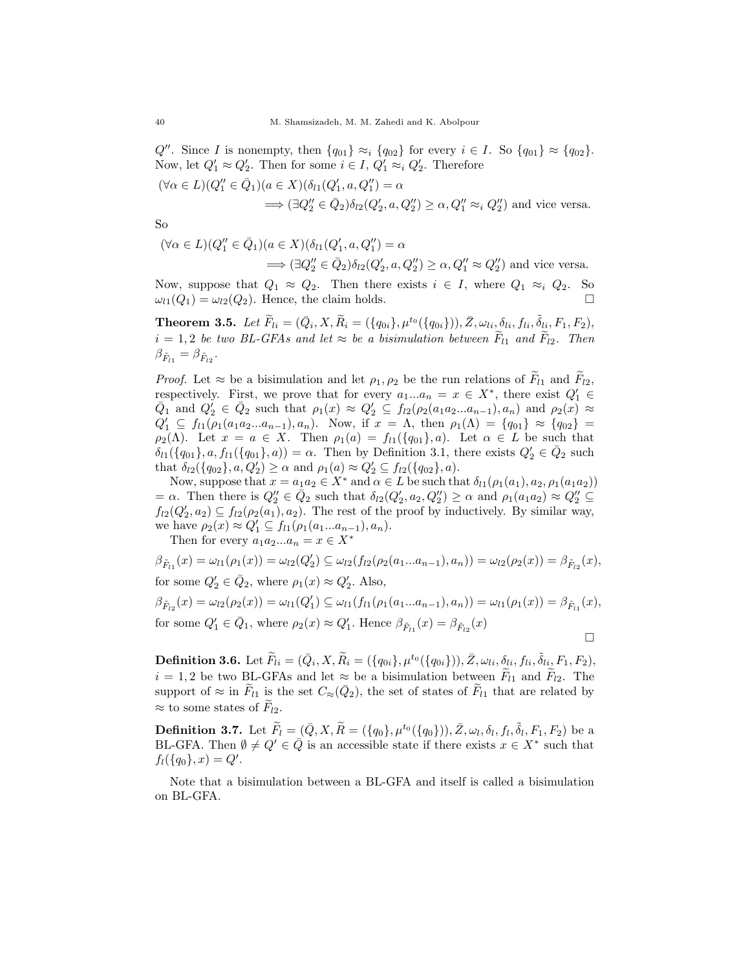$Q''$ . Since I is nonempty, then  $\{q_{01}\}\approx_i \{q_{02}\}\$  for every  $i \in I$ . So  $\{q_{01}\}\approx \{q_{02}\}\$ . Now, let  $Q'_1 \approx Q'_2$ . Then for some  $i \in I$ ,  $Q'_1 \approx_i Q'_2$ . Therefore

$$
(\forall \alpha \in L)(Q_1'' \in \bar{Q}_1)(a \in X)(\delta_{l1}(Q_1', a, Q_1'') = \alpha
$$
  

$$
\implies (\exists Q_2'' \in \bar{Q}_2)\delta_{l2}(Q_2', a, Q_2'') \ge \alpha, Q_1'' \approx_i Q_2''\text{) and vice versa.}
$$

So

 $(\forall \alpha \in L)(Q''_1 \in \bar{Q}_1)(a \in X)(\delta_{l1}(Q'_1, a, Q''_1) = \alpha$  $\implies (\exists Q_2'' \in \bar{Q}_2) \delta_{l2}(Q_2', a, Q_2'') \ge \alpha, Q_1'' \approx Q_2''$  and vice versa.

Now, suppose that  $Q_1 \approx Q_2$ . Then there exists  $i \in I$ , where  $Q_1 \approx_i Q_2$ . So  $\omega_{l1}(Q_1) = \omega_{l2}(Q_2)$ . Hence, the claim holds.

**Theorem 3.5.** Let  $\widetilde{F}_{li} = (\bar{Q}_i, X, \widetilde{R}_i = (\{q_{0i}\}, \mu^{t_0}(\{q_{0i}\})), \bar{Z}, \omega_{li}, \delta_{li}, f_{li}, \delta_{li}, F_1, F_2),$  $i = 1, 2$  be two BL-GFAs and let  $\approx$  be a bisimulation between  $\widetilde{F}_{l1}$  and  $\widetilde{F}_{l2}$ . Then  $\beta_{\tilde{F}_{l1}} = \beta_{\tilde{F}_{l2}}.$ 

*Proof.* Let  $\approx$  be a bisimulation and let  $\rho_1, \rho_2$  be the run relations of  $F_{l1}$  and  $F_{l2}$ , respectively. First, we prove that for every  $a_1...a_n = x \in X^*$ , there exist  $Q'_1 \in$  $\overline{Q}_1$  and  $Q'_2 \in \overline{Q}_2$  such that  $\rho_1(x) \approx Q'_2 \subseteq f_{l2}(\rho_2(a_1a_2...a_{n-1}), a_n)$  and  $\rho_2(x) \approx$  $Q'_1 \subseteq f_{l1}(\rho_1(a_1a_2...a_{n-1}), a_n)$ . Now, if  $x = \Lambda$ , then  $\rho_1(\Lambda) = \{q_{01}\} \approx \{q_{02}\}$  $\rho_2(\Lambda)$ . Let  $x = a \in X$ . Then  $\rho_1(a) = f_{l1}(\{q_{01}\}, a)$ . Let  $\alpha \in L$  be such that  $\delta_{l1}(\{q_{01}\}, a, f_{l1}(\{q_{01}\}, a)) = \alpha$ . Then by Definition 3.1, there exists  $Q'_2 \in \bar{Q}_2$  such that  $\delta_{l2}(\{q_{02}\}, a, Q'_2) \ge \alpha$  and  $\rho_1(a) \approx Q'_2 \subseteq f_{l2}(\{q_{02}\}, a)$ .

Now, suppose that  $x = a_1 a_2 \in X^*$  and  $\alpha \in L$  be such that  $\delta_{l}(\rho_1(a_1), a_2, \rho_1(a_1 a_2))$  $= \alpha$ . Then there is  $Q''_2 \in \bar{Q}_2$  such that  $\delta_{l2}(Q'_2, a_2, Q''_2) \ge \alpha$  and  $\rho_1(a_1a_2) \approx Q''_2 \subseteq$  $f_{l2}(Q'_2, a_2) \subseteq f_{l2}(\rho_2(a_1), a_2)$ . The rest of the proof by inductively. By similar way, we have  $\rho_2(x) \approx Q'_1 \subseteq f_{l1}(\rho_1(a_1...a_{n-1}), a_n)$ .

Then for every  $a_1a_2...a_n = x \in X^*$ 

 $\beta_{\tilde{F}_{l1}}(x) = \omega_{l1}(\rho_1(x)) = \omega_{l2}(Q'_2) \subseteq \omega_{l2}(f_{l2}(\rho_2(a_1...a_{n-1}), a_n)) = \omega_{l2}(\rho_2(x)) = \beta_{\tilde{F}_{l2}}(x),$ for some  $Q'_2 \in \overline{Q}_2$ , where  $\rho_1(x) \approx Q'_2$ . Also,  $\beta_{\tilde{F}_{12}}(x) = \omega_{l2}(\rho_2(x)) = \omega_{l1}(Q'_1) \subseteq \omega_{l1}(f_{l1}(\rho_1(a_1...a_{n-1}), a_n)) = \omega_{l1}(\rho_1(x)) = \beta_{\tilde{F}_{l1}}(x),$ 

for some 
$$
Q'_1 \in \bar{Q}_1
$$
, where  $\rho_2(x) \approx Q'_1$ . Hence  $\beta_{\tilde{F}_{l_1}}(x) = \beta_{\tilde{F}_{l_2}}(x)$ 

**Definition 3.6.** Let  $\widetilde{F}_{li} = (\bar{Q}_i, X, \widetilde{R}_i = (\{q_{0i}\}, \mu^{t_0}(\{q_{0i}\})), \bar{Z}, \omega_{li}, \underline{\delta}_{li}, f_{li}, \widetilde{\delta}_{li}, F_1, F_2),$  $i = 1, 2$  be two BL-GFAs and let  $\approx$  be a bisimulation between  $F_{l1}$  and  $F_{l2}$ . The support of  $\approx$  in  $\widetilde{F}_{l_1}$  is the set  $C_{\approx}(\bar{Q}_2)$ , the set of states of  $\widetilde{F}_{l_1}$  that are related by  $\approx$  to some states of  $F_{l2}$ .

**Definition 3.7.** Let  $\widetilde{F}_l = (\bar{Q}, X, \widetilde{R}) = (\{q_0\}, \mu^{t_0}(\{q_0\})), \bar{Z}, \omega_l, \delta_l, f_l, \widetilde{\delta}_l, F_1, F_2)$  be a BL-GFA. Then  $\emptyset \neq Q' \in \overline{Q}$  is an accessible state if there exists  $x \in X^*$  such that  $f_l({q_0}, x) = Q'.$ 

Note that a bisimulation between a BL-GFA and itself is called a bisimulation on BL-GFA.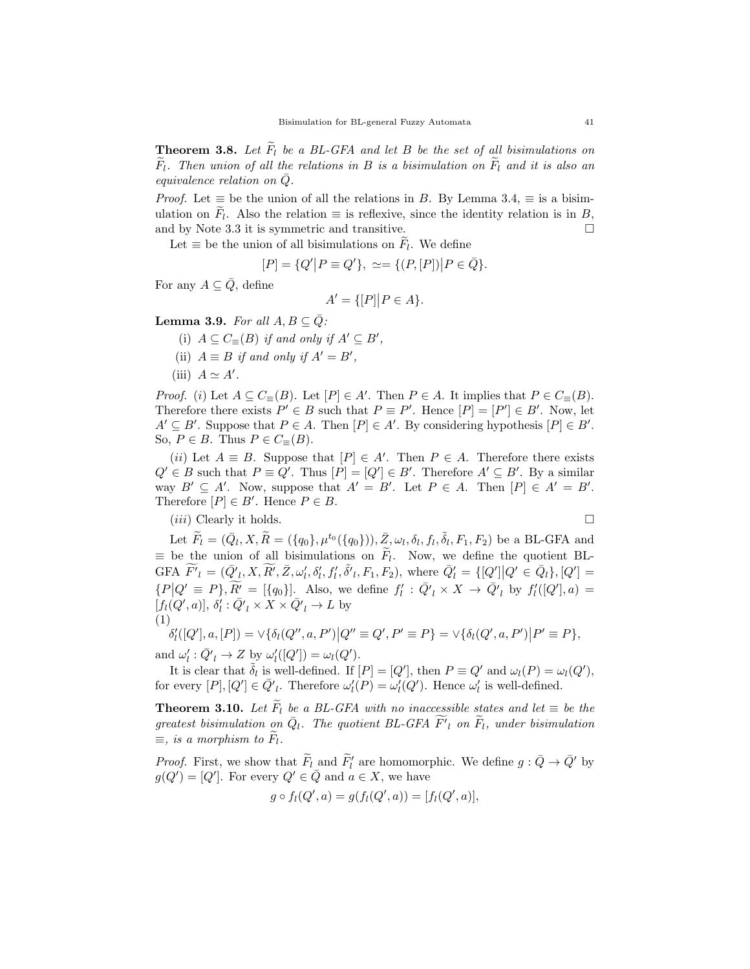**Theorem 3.8.** Let  $\overline{F}_l$  be a BL-GFA and let B be the set of all bisimulations on  $\overline{F}_l$ . Then union of all the relations in B is a bisimulation on  $\overline{F}_l$  and it is also an equivalence relation on  $\overline{Q}$ .

*Proof.* Let  $\equiv$  be the union of all the relations in B. By Lemma 3.4,  $\equiv$  is a bisimulation on  $F_l$ . Also the relation  $\equiv$  is reflexive, since the identity relation is in  $B$ , and by Note 3.3 it is symmetric and transitive.  $\Box$ 

Let  $\equiv$  be the union of all bisimulations on  $F_l$ . We define

$$
[P] = \{Q'|P \equiv Q'\}, \ \simeq = \{(P,[P])|P \in \bar{Q}\}.
$$

For any  $A \subseteq \overline{Q}$ , define

$$
A' = \{ [P] | P \in A \}.
$$

**Lemma 3.9.** For all  $A, B \subseteq \overline{Q}$ :

(i)  $A \subseteq C_{\equiv}(B)$  if and only if  $A' \subseteq B'$ ,

- (ii)  $A \equiv B$  if and only if  $A' = B'$ ,
- (iii)  $A \simeq A'$ .

*Proof.* (i) Let  $A \subseteq C_{\equiv}(B)$ . Let  $[P] \in A'$ . Then  $P \in A$ . It implies that  $P \in C_{\equiv}(B)$ . Therefore there exists  $P' \in B$  such that  $P \equiv P'$ . Hence  $[P] = [P'] \in B'$ . Now, let  $A' \subseteq B'$ . Suppose that  $P \in A$ . Then  $[P] \in A'$ . By considering hypothesis  $[P] \in B'$ . So,  $P \in B$ . Thus  $P \in C_{\equiv}(B)$ .

(ii) Let  $A \equiv B$ . Suppose that  $[P] \in A'$ . Then  $P \in A$ . Therefore there exists  $Q' \in B$  such that  $P \equiv Q'$ . Thus  $[P] = [Q'] \in B'$ . Therefore  $A' \subseteq B'$ . By a similar way  $B' \subseteq A'$ . Now, suppose that  $A' = B'$ . Let  $P \in A$ . Then  $[P] \in A' = B'$ . Therefore  $[P] \in B'$ . Hence  $P \in B$ .

 $(iii)$  Clearly it holds.

$$
\Box
$$

Let  $\widetilde{F}_l = (\bar{Q}_l, X, \widetilde{R}) = (\{q_0\}, \mu^{t_0}(\{q_0\})), \bar{Z}, \omega_l, \delta_l, f_l, \tilde{\delta}_l, F_1, F_2)$  be a BL-GFA and  $\equiv$  be the union of all bisimulations on  $F_l$ . Now, we define the quotient BL- $\widetilde{F'}_l = (\overline{Q'}_l, X, \widetilde{R'}, \overline{Z}, \omega'_l, \delta'_l, f'_l, \delta'_l, F_1, F_2)$ , where  $\overline{Q'_l} = \{[Q']|Q' \in \overline{Q}_l\}$ ,  $[Q'] =$  $\{P|Q' \equiv P\}, \widetilde{R'} = [\{q_0\}].$  Also, we define  $f'_l : \bar{Q'}_l \times X \to \bar{Q'}_l$  by  $f'_l([Q'], a) =$  $[f_l(Q', a)], \delta'_l : \bar{Q'}_l \times X \times \bar{Q'}_l \to L$  by (1)

$$
\delta'_{l}([Q'], a, [P]) = \vee \{ \delta_{l}(Q'', a, P') | Q'' \equiv Q', P' \equiv P \} = \vee \{ \delta_{l}(Q', a, P') | P' \equiv P \},
$$

and  $\omega'_l : \overline{Q'}_l \to Z$  by  $\omega'_l([Q']) = \omega_l(Q').$ 

It is clear that  $\tilde{\delta}_l$  is well-defined. If  $[P] = [Q']$ , then  $P \equiv Q'$  and  $\omega_l(P) = \omega_l(Q')$ , for every  $[P], [Q'] \in \bar{Q'}_l$ . Therefore  $\omega'_l(P) = \omega'_l(Q')$ . Hence  $\omega'_l$  is well-defined.

**Theorem 3.10.** Let  $\tilde{F}_l$  be a BL-GFA with no inaccessible states and let  $\equiv$  be the greatest bisimulation on  $\bar{Q}_l$ . The quotient BL-GFA  $\widetilde{F'}_l$  on  $\widetilde{F}_l$ , under bisimulation  $\equiv$ , is a morphism to  $F_l$ .

*Proof.* First, we show that  $\widetilde{F}_l$  and  $\widetilde{F}_l'$  are homomorphic. We define  $g: \overline{Q} \to \overline{Q}'$  by  $g(Q') = [Q']$ . For every  $Q' \in \overline{Q}$  and  $a \in X$ , we have

$$
g \circ f_l(Q', a) = g(f_l(Q', a)) = [f_l(Q', a)],
$$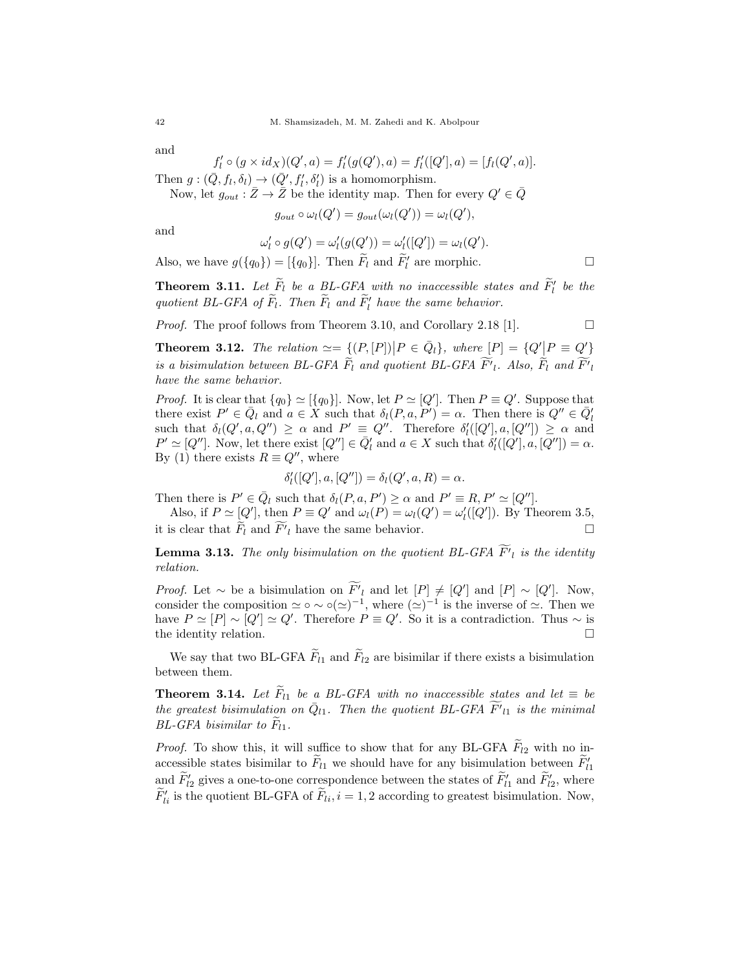and

$$
f'_{l} \circ (g \times id_{X})(Q', a) = f'_{l}(g(Q'), a) = f'_{l}([Q'], a) = [f_{l}(Q', a)].
$$

Then  $g: (\bar{Q}, f_l, \delta_l) \rightarrow (\bar{Q}', f'_l, \delta'_l)$  is a homomorphism.

Now, let  $g_{out} : \bar{Z} \to \bar{Z}$  be the identity map. Then for every  $Q' \in \bar{Q}$ 

 $g_{out} \circ \omega_l(Q') = g_{out}(\omega_l(Q')) = \omega_l(Q'),$ 

and

$$
\omega'_l \circ g(Q') = \omega'_l(g(Q')) = \omega'_l([Q']) = \omega_l(Q').
$$

Also, we have  $g({q_0}) = [{q_0}]$ . Then  $\widetilde{F}_l$  and  $\widetilde{F}_l'$  are morphic.

**Theorem 3.11.** Let  $\widetilde{F}_l$  be a BL-GFA with no inaccessible states and  $\widetilde{F}_l'$  be the quotient BL-GFA of  $\widetilde{F}_l$ . Then  $\widetilde{F}_l$  and  $\widetilde{F}_l'$  have the same behavior.

*Proof.* The proof follows from Theorem 3.10, and Corollary 2.18 [1].  $\Box$ 

**Theorem 3.12.** The relation  $\simeq = \{ (P, [P]) | P \in \bar{Q}_l \}$ , where  $[P] = \{ Q' | P \equiv Q' \}$ is a bisimulation between BL-GFA  $\overline{F}_l$  and quotient BL-GFA  $\overline{F'}_l$ . Also,  $\overline{F}_l$  and  $\overline{F'}_l$ have the same behavior.

*Proof.* It is clear that  $\{q_0\} \simeq [\{q_0\}]$ . Now, let  $P \simeq [Q']$ . Then  $P \equiv Q'$ . Suppose that there exist  $P' \in \overline{Q}_l$  and  $a \in X$  such that  $\delta_l(P, a, P') = \alpha$ . Then there is  $Q'' \in \overline{Q}_l'$ such that  $\delta_l(Q', a, Q'') \geq \alpha$  and  $P' \equiv Q''$ . Therefore  $\delta'_l([Q'], a, [Q'']) \geq \alpha$  and  $P' \simeq [Q'']$ . Now, let there exist  $[Q''] \in \overline{Q}'_l$  and  $a \in X$  such that  $\delta'_l([Q'], a, [Q'']) = \alpha$ . By (1) there exists  $R \equiv Q''$ , where

$$
\delta_l'([Q'], a, [Q'']) = \delta_l(Q', a, R) = \alpha.
$$

Then there is  $P' \in \overline{Q}_l$  such that  $\delta_l(P, a, P') \ge \alpha$  and  $P' \equiv R, P' \simeq [Q'']$ .

Also, if  $P \simeq [Q']$ , then  $P \equiv Q'$  and  $\omega_l(P) = \omega_l(Q') = \omega'_l([Q'])$ . By Theorem 3.5, it is clear that  $\widetilde{F}_l$  and  $\widetilde{F'}_l$  have the same behavior.

**Lemma 3.13.** The only bisimulation on the quotient BL-GFA  $F'_{l}$  is the identity relation.

*Proof.* Let  $\sim$  be a bisimulation on  $\overline{F'}_l$  and let  $[P] \neq [Q']$  and  $[P] \sim [Q']$ . Now, consider the composition  $\simeq \circ \sim \circ(\simeq)^{-1}$ , where  $(\simeq)^{-1}$  is the inverse of  $\simeq$ . Then we have  $P \simeq [P] \sim [Q'] \simeq Q'$ . Therefore  $P \equiv Q'$ . So it is a contradiction. Thus  $\sim$  is the identity relation.  $\Box$ 

We say that two BL-GFA  $\widetilde{F}_{l1}$  and  $\widetilde{F}_{l2}$  are bisimilar if there exists a bisimulation between them.

**Theorem 3.14.** Let  $\overline{F}_{l1}$  be a BL-GFA with no inaccessible states and let  $\equiv$  be the greatest bisimulation on  $\overline{Q}_{l1}$ . Then the quotient BL-GFA  $\widetilde{F'}_{l1}$  is the minimal  $BL\text{-}GFA$  bisimilar to  $F_{l1}$ .

*Proof.* To show this, it will suffice to show that for any BL-GFA  $F_{l2}$  with no inaccessible states bisimilar to  $\tilde{F}_{l1}$  we should have for any bisimulation between  $\tilde{F}_{l1}$ and  $\widetilde{F}'_{l2}$  gives a one-to-one correspondence between the states of  $\widetilde{F}'_{l1}$  and  $\widetilde{F}'_{l2}$ , where  $\widetilde{F}_{li}$  is the quotient BL-GFA of  $\widetilde{F}_{li}, i = 1, 2$  according to greatest bisimulation. Now,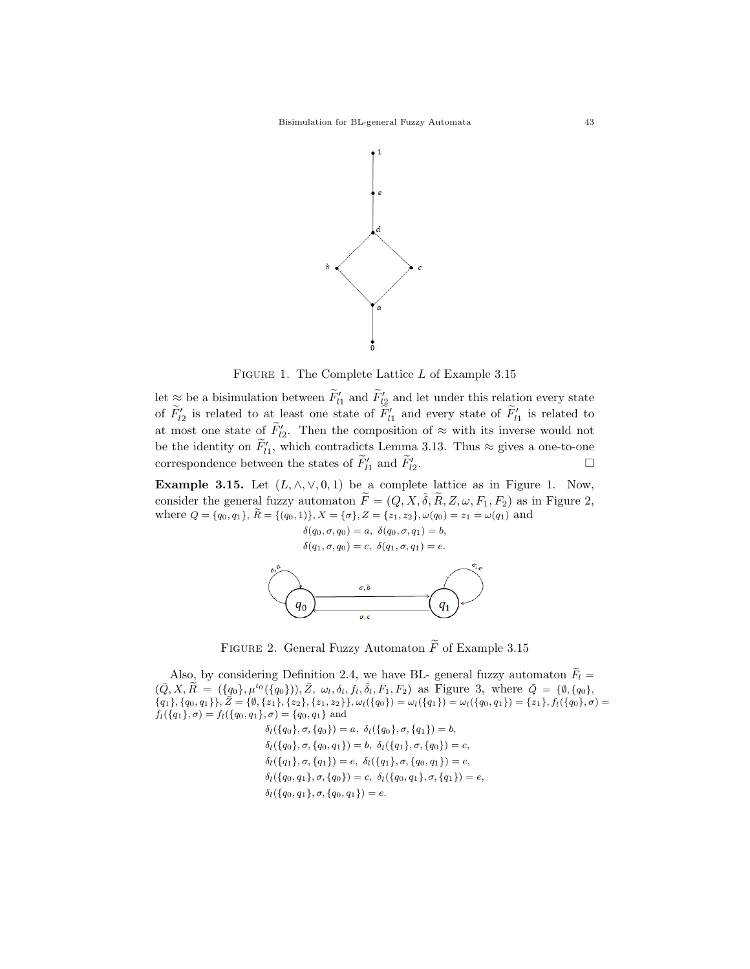

Figure 1. The Complete Lattice L of Example 3.15

let  $\approx$  be a bisimulation between  $\tilde{F}_{l1}$  and  $\tilde{F}_{l2}$  and let under this relation every state of  $\tilde{F}_{l2}$  is related to at least one state of  $\tilde{F}_{l1}$  and every state of  $\tilde{F}_{l1}$  is related to at most one state of  $\tilde{F}_{2}$ . Then the composition of  $\approx$  with its inverse would not be the identity on  $\widetilde{F}_{l1}$ , which contradicts Lemma 3.13. Thus  $\approx$  gives a one-to-one correspondence between the states of  $\tilde{F}_{l1}$  and  $\tilde{F}_{l2}$ . — Первый профессиональный профессиональный профессиональный профессиональный профессиональный профессиональн<br>В 1990 году в 1990 году в 1990 году в 1990 году в 1990 году в 1990 году в 1990 году в 1990 году в 1990 году в<br>

Example 3.15. Let  $(L, \wedge, \vee, 0, 1)$  be a complete lattice as in Figure 1. Now, consider the general fuzzy automaton  $\widetilde{F} = (Q, X, \widetilde{\delta}, \widetilde{R}, Z, \omega, F_1, F_2)$  as in Figure 2, where  $Q = \{q_0, q_1\}, \,\tilde{R} = \{(q_0, 1)\}, X = \{\sigma\}, Z = \{z_1, z_2\}, \omega(q_0) = z_1 = \omega(q_1)$  and

> $\delta(q_0, \sigma, q_0) = a, \ \delta(q_0, \sigma, q_1) = b,$  $\delta(q_1,\sigma,q_0)=c, \ \delta(q_1,\sigma,q_1)=e.$



FIGURE 2. General Fuzzy Automaton  $\widetilde{F}$  of Example 3.15

Also, by considering Definition 2.4, we have BL- general fuzzy automaton  $F_l$  =  $(\bar{Q}, X, \tilde{R} = (\{q_0\}, \mu^{t_0}(\{q_0\})), \bar{Z}, \omega_l, \delta_l, f_l, \tilde{\delta}_l, F_1, F_2)$  as Figure 3, where  $\bar{Q} = \{\emptyset, \{q_0\},$  ${q_1}, {q_0, q_1}, \overline{Z} = {\emptyset}, {z_1}, {z_2}, {z_1, z_2}, \omega_{l}(q_0) = \omega_{l}(q_1) = \omega_{l}(q_0, q_1) = {z_1}, f_l(q_0), \sigma = {\emptyset}$  $f_l(\{q_1\}, \sigma) = f_l(\{q_0, q_1\}, \sigma) = \{q_0, q_1\}$  and

> $\delta_l(\{q_0\}, \sigma, \{q_0\}) = a, \ \delta_l(\{q_0\}, \sigma, \{q_1\}) = b,$  $\delta_l(\{q_0\}, \sigma, \{q_0, q_1\}) = b, \ \delta_l(\{q_1\}, \sigma, \{q_0\}) = c,$  $\delta_l(\{q_1\}, \sigma, \{q_1\}) = e, \delta_l(\{q_1\}, \sigma, \{q_0, q_1\}) = e,$  $\delta_l(\{q_0, q_1\}, \sigma, \{q_0\}) = c, \ \delta_l(\{q_0, q_1\}, \sigma, \{q_1\}) = e,$  $\delta_l(\{q_0, q_1\}, \sigma, \{q_0, q_1\}) = e.$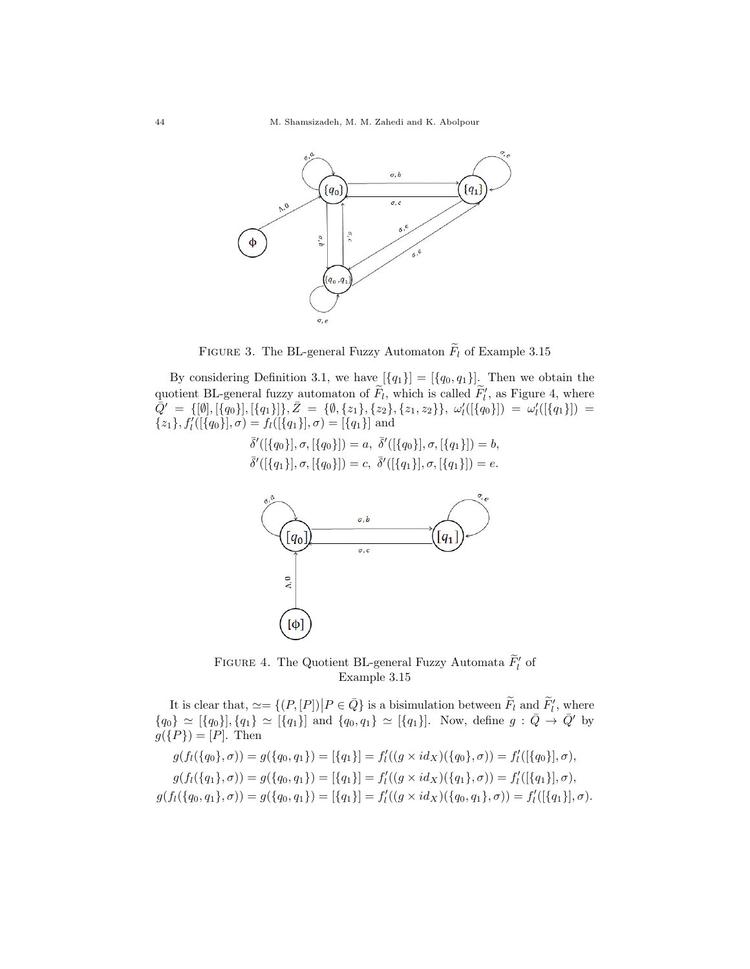

FIGURE 3. The BL-general Fuzzy Automaton  $\widetilde{F}_l$  of Example 3.15

By considering Definition 3.1, we have  $[\{q_1\}] = [\{q_0, q_1\}]$ . Then we obtain the quotient BL-general fuzzy automaton of  $\tilde{F}_l$ , which is called  $\tilde{F}_l'$ , as Figure 4, where  $\bar{Q}' \;=\; \{ [\emptyset], [\{q_0\}], [\{q_1\}] \}, \bar{Z} \;=\; \{ \emptyset, \{z_1\}, \{z_2\}, \{z_1,z_2\} \}, \; \omega'_l ( [\{q_0\}] ) \;=\; \omega'_l ( [\{q_1\}] ) \;=\;$  $\{z_1\}, f'_{l}([\{q_0\}], \sigma) = f_{l}([\{q_1\}], \sigma) = [\{q_1\}]$  and

$$
\bar{\delta}'([\{q_0\}], \sigma, [\{q_0\}]) = a, \ \bar{\delta}'([\{q_0\}], \sigma, [\{q_1\}]) = b, \bar{\delta}'([\{q_1\}], \sigma, [\{q_0\}]) = c, \ \bar{\delta}'([\{q_1\}], \sigma, [\{q_1\}]) = e.
$$



FIGURE 4. The Quotient BL-general Fuzzy Automata  $\widetilde{F}_l'$  of Example 3.15

It is clear that,  $\simeq = \{ (P, [P]) | P \in \bar{Q} \}$  is a bisimulation between  $\tilde{F}_l$  and  $\tilde{F}_l'$ , where  ${q_0} \simeq [{q_0}]$ ,  ${q_1} \simeq [{q_1}]$  and  ${q_0, q_1} \simeq [{q_1}]$ . Now, define  $g : \bar{Q} \to \bar{Q}'$  by  $g({P}) = [P]$ . Then

$$
g(f_l(\{q_0\}, \sigma)) = g(\{q_0, q_1\}) = [\{q_1\}] = f'_l((g \times id_X)(\{q_0\}, \sigma)) = f'_l([\{q_0\}], \sigma),
$$
  
\n
$$
g(f_l(\{q_1\}, \sigma)) = g(\{q_0, q_1\}) = [\{q_1\}] = f'_l((g \times id_X)(\{q_1\}, \sigma)) = f'_l([\{q_1\}], \sigma),
$$
  
\n
$$
g(f_l(\{q_0, q_1\}, \sigma)) = g(\{q_0, q_1\}) = [\{q_1\}] = f'_l((g \times id_X)(\{q_0, q_1\}, \sigma)) = f'_l([\{q_1\}], \sigma).
$$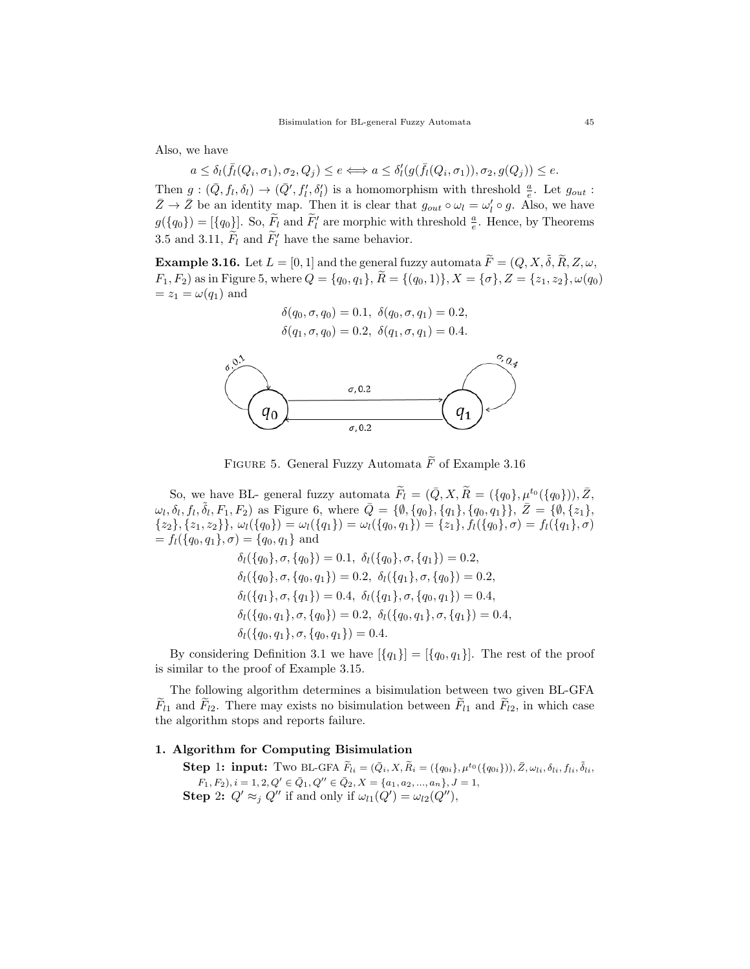Also, we have

$$
a \leq \delta_l(\bar{f}_l(Q_i, \sigma_1), \sigma_2, Q_j) \leq e \Longleftrightarrow a \leq \delta'_l(g(\bar{f}_l(Q_i, \sigma_1)), \sigma_2, g(Q_j)) \leq e.
$$

Then  $g:(\bar{Q},f_l,\delta_l)\to(\bar{Q}',f'_l,\delta'_l)$  is a homomorphism with threshold  $\frac{a}{e}$ . Let  $g_{out}$ :  $\bar{Z} \to \bar{Z}$  be an identity map. Then it is clear that  $g_{out} \circ \omega_l = \omega'_l \circ g$ . Also, we have  $g({q_0}) = [{q_0}]$ . So,  $\widetilde{F}_l$  and  $\widetilde{F}_l'$  are morphic with threshold  $\frac{a}{e}$ . Hence, by Theorems 3.5 and 3.11,  $\tilde{F}_l$  and  $\tilde{F}'_l$  have the same behavior.

**Example 3.16.** Let  $L = [0, 1]$  and the general fuzzy automata  $\widetilde{F} = (Q, X, \widetilde{\delta}, \widetilde{R}, Z, \omega, \widetilde{\delta})$  $F_1, F_2$  as in Figure 5, where  $Q = \{q_0, q_1\}, \widetilde{R} = \{(q_0, 1)\}, X = \{\sigma\}, Z = \{z_1, z_2\}, \omega(q_0)$  $=z_1 = \omega(q_1)$  and

$$
\delta(q_0, \sigma, q_0) = 0.1, \ \delta(q_0, \sigma, q_1) = 0.2, \n\delta(q_1, \sigma, q_0) = 0.2, \ \delta(q_1, \sigma, q_1) = 0.4.
$$



FIGURE 5. General Fuzzy Automata  $\widetilde{F}$  of Example 3.16

So, we have BL- general fuzzy automata  $\widetilde{F}_l = (\bar{Q}, X, \widetilde{R} = (\{q_0\}, \mu^{t_0}(\{q_0\})), \bar{Z},$  $\omega_l, \delta_l, f_l, \tilde{\delta}_l, F_1, F_2$  as Figure 6, where  $\overline{Q} = {\emptyset, \{q_0\}, \{q_1\}, \{q_0, q_1\}\}, \overline{Z} = {\emptyset, \{z_1\}},$  $\{z_2\}, \{z_1, z_2\}\}, \omega_l(\{q_0\}) = \omega_l(\{q_1\}) = \omega_l(\{q_0, q_1\}) = \{z_1\}, f_l(\{q_0\}, \sigma) = f_l(\{q_1\}, \sigma)$  $=f_l(\{q_0, q_1\}, \sigma) = \{q_0, q_1\}$  and

$$
\delta_l(\{q_0\}, \sigma, \{q_0\}) = 0.1, \ \delta_l(\{q_0\}, \sigma, \{q_1\}) = 0.2,
$$
  
\n
$$
\delta_l(\{q_0\}, \sigma, \{q_0, q_1\}) = 0.2, \ \delta_l(\{q_1\}, \sigma, \{q_0\}) = 0.2,
$$
  
\n
$$
\delta_l(\{q_1\}, \sigma, \{q_1\}) = 0.4, \ \delta_l(\{q_1\}, \sigma, \{q_0, q_1\}) = 0.4,
$$
  
\n
$$
\delta_l(\{q_0, q_1\}, \sigma, \{q_0\}) = 0.2, \ \delta_l(\{q_0, q_1\}, \sigma, \{q_1\}) = 0.4,
$$
  
\n
$$
\delta_l(\{q_0, q_1\}, \sigma, \{q_0, q_1\}) = 0.4.
$$

By considering Definition 3.1 we have  $[\{q_1\}] = [\{q_0, q_1\}]$ . The rest of the proof is similar to the proof of Example 3.15.

The following algorithm determines a bisimulation between two given BL-GFA  $\widetilde{F}_{l1}$  and  $\widetilde{F}_{l2}$ . There may exists no bisimulation between  $\widetilde{F}_{l1}$  and  $\widetilde{F}_{l2}$ , in which case the algorithm stops and reports failure.

# 1. Algorithm for Computing Bisimulation

**Step 1: input:** Two BL-GFA  $\tilde{F}_{li} = (\bar{Q}_i, X, \tilde{R}_i = (\{q_{0i}\}, \mu^{t_0}(\{q_{0i}\})) , \bar{Z}, \omega_{li}, \delta_{li}, f_{li}, \tilde{\delta}_{li},$  $(F_1, F_2), i = 1, 2, Q' \in \overline{Q}_1, Q'' \in \overline{Q}_2, X = \{a_1, a_2, ..., a_n\}, J = 1,$ **Step 2:**  $Q' \approx_j Q''$  if and only if  $\omega_{l1}(Q') = \omega_{l2}(Q'')$ ,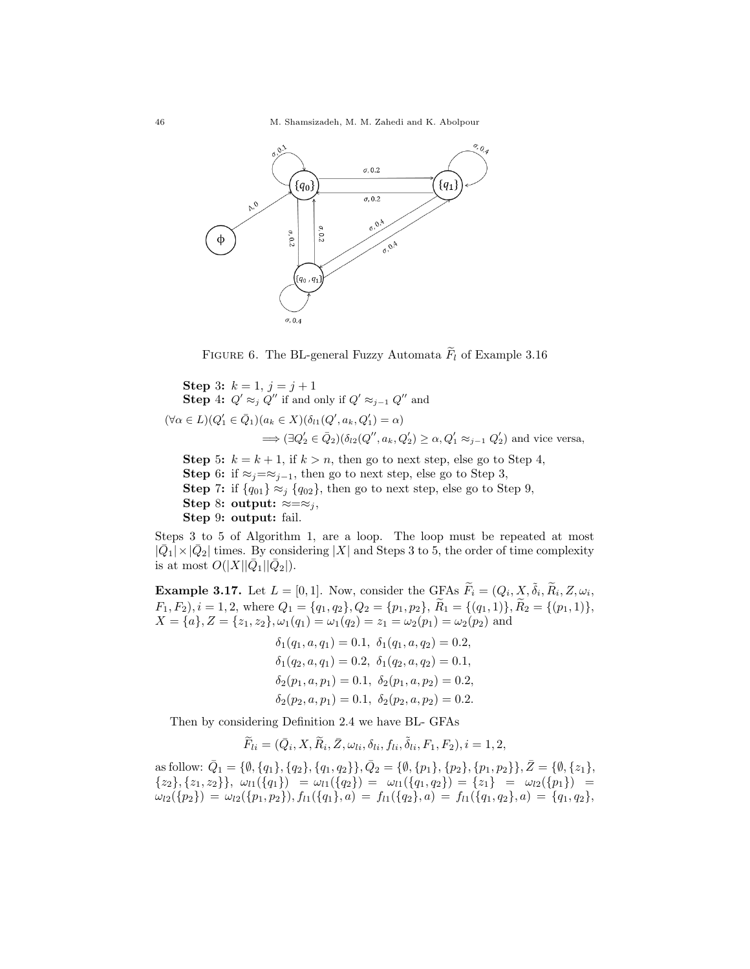46 M. Shamsizadeh, M. M. Zahedi and K. Abolpour



FIGURE 6. The BL-general Fuzzy Automata  $F_l$  of Example 3.16

Step 3:  $k = 1, j = j + 1$ **Step 4:**  $Q' \approx_j Q''$  if and only if  $Q' \approx_{j-1} Q''$  and  $(\forall \alpha \in L)(Q_1' \in \bar{Q}_1)(a_k \in X)(\delta_{l1}(Q', a_k, Q_1') = \alpha)$  $\Rightarrow (\exists Q_2' \in \bar{Q}_2)(\delta_{l2}(Q'', a_k, Q'_2) \ge \alpha, Q'_1 \approx_{j-1} Q'_2)$  and vice versa, Step 5:  $k = k + 1$ , if  $k > n$ , then go to next step, else go to Step 4,

Step 6: if  $\approx$ j= $\approx$ j-1, then go to next step, else go to Step 3, **Step** 7: if  $\{q_{01}\}\approx_j \{q_{02}\}\$ , then go to next step, else go to Step 9, Step 8: output:  $\approx=\approx_j$ , Step 9: output: fail.

Steps 3 to 5 of Algorithm 1, are a loop. The loop must be repeated at most  $|\bar{Q}_1| \times |\bar{Q}_2|$  times. By considering  $|X|$  and Steps 3 to 5, the order of time complexity is at most  $O(|X||\bar{Q}_1||\bar{Q}_2|)$ .

**Example 3.17.** Let  $L = [0, 1]$ . Now, consider the GFAs  $\widetilde{F}_i = (Q_i, X, \widetilde{\delta}_i, \widetilde{R}_i, Z, \omega_i, \widetilde{\delta}_i, \widetilde{R}_i, Z, \widetilde{\omega}_i, \widetilde{R}_i, Z, \widetilde{\omega}_i, \widetilde{R}_i, Z, \widetilde{\omega}_i, \widetilde{R}_i, Z, \widetilde{\omega}_i, Z, \widetilde{\omega}_i, Z, \widetilde{\omega}_i, Z, \widetilde{\omega}_i, Z, \wid$  $F_1, F_2$ ,  $i = 1, 2$ , where  $Q_1 = \{q_1, q_2\}$ ,  $Q_2 = \{p_1, p_2\}$ ,  $R_1 = \{(q_1, 1)\}$ ,  $R_2 = \{(p_1, 1)\}$ ,  $X = \{a\}, Z = \{z_1, z_2\}, \omega_1(q_1) = \omega_1(q_2) = z_1 = \omega_2(p_1) = \omega_2(p_2)$  and

$$
\delta_1(q_1, a, q_1) = 0.1, \ \delta_1(q_1, a, q_2) = 0.2,
$$
  
\n
$$
\delta_1(q_2, a, q_1) = 0.2, \ \delta_1(q_2, a, q_2) = 0.1,
$$
  
\n
$$
\delta_2(p_1, a, p_1) = 0.1, \ \delta_2(p_1, a, p_2) = 0.2,
$$
  
\n
$$
\delta_2(p_2, a, p_1) = 0.1, \ \delta_2(p_2, a, p_2) = 0.2.
$$

Then by considering Definition 2.4 we have BL- GFAs

$$
\widetilde{F}_{li} = (\overline{Q}_i, X, \widetilde{R}_i, \overline{Z}, \omega_{li}, \delta_{li}, f_{li}, \widetilde{\delta}_{li}, F_1, F_2), i = 1, 2,
$$

as follow:  $\overline{Q}_1 = \{\emptyset, \{q_1\}, \{q_2\}, \{q_1, q_2\}\}, \overline{Q}_2 = \{\emptyset, \{p_1\}, \{p_2\}, \{p_1, p_2\}\}, \overline{Z} = \{\emptyset, \{z_1\},$  $\{z_2\}, \{z_1, z_2\}\}, \omega_{l1}(\{q_1\}) = \omega_{l1}(\{q_2\}) = \omega_{l1}(\{q_1, q_2\}) = \{z_1\} = \omega_{l2}(\{p_1\}) =$  $\omega_{l2}(\{p_2\}) = \omega_{l2}(\{p_1, p_2\}), f_{l1}(\{q_1\}, a) = f_{l1}(\{q_2\}, a) = f_{l1}(\{q_1, q_2\}, a) = \{q_1, q_2\},$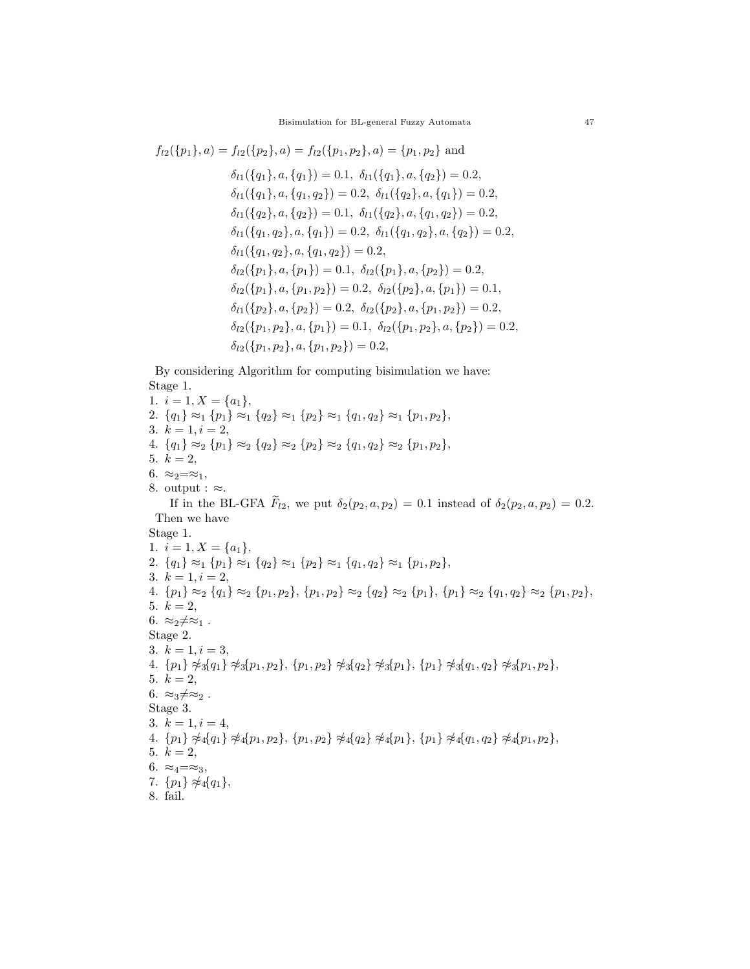$$
f_{l2}(\{p_1\}, a) = f_{l2}(\{p_2\}, a) = f_{l2}(\{p_1, p_2\}, a) = \{p_1, p_2\} \text{ and}
$$
  
\n
$$
\delta_{l1}(\{q_1\}, a, \{q_1\}) = 0.1, \ \delta_{l1}(\{q_1\}, a, \{q_2\}) = 0.2,
$$
  
\n
$$
\delta_{l1}(\{q_1\}, a, \{q_1, q_2\}) = 0.2, \ \delta_{l1}(\{q_2\}, a, \{q_1\}) = 0.2,
$$
  
\n
$$
\delta_{l1}(\{q_2\}, a, \{q_2\}) = 0.1, \ \delta_{l1}(\{q_2\}, a, \{q_1, q_2\}) = 0.2,
$$
  
\n
$$
\delta_{l1}(\{q_1, q_2\}, a, \{q_1\}) = 0.2, \ \delta_{l1}(\{q_1, q_2\}, a, \{q_2\}) = 0.2,
$$
  
\n
$$
\delta_{l1}(\{q_1, q_2\}, a, \{q_1, q_2\}) = 0.2,
$$
  
\n
$$
\delta_{l2}(\{p_1\}, a, \{p_1\}) = 0.1, \ \delta_{l2}(\{p_1\}, a, \{p_2\}) = 0.2,
$$
  
\n
$$
\delta_{l2}(\{p_1\}, a, \{p_1, p_2\}) = 0.2, \ \delta_{l2}(\{p_2\}, a, \{p_1\}) = 0.1,
$$
  
\n
$$
\delta_{l1}(\{p_2\}, a, \{p_2\}) = 0.2, \ \delta_{l2}(\{p_2\}, a, \{p_1, p_2\}) = 0.2,
$$
  
\n
$$
\delta_{l2}(\{p_1, p_2\}, a, \{p_1\}) = 0.1, \ \delta_{l2}(\{p_1, p_2\}, a, \{p_2\}) = 0.2,
$$
  
\n
$$
\delta_{l2}(\{p_1, p_2\}, a, \{p_1\}) = 0.1, \ \delta_{l2}(\{p_1, p_2\}, a, \{p_2\}) = 0.2,
$$
  
\n

By considering Algorithm for computing bisimulation we have: Stage 1.

1.  $i = 1, X = \{a_1\},\$ 2.  ${q_1} \approx_1 {p_1} \approx_1 {q_2} \approx_1 {p_2} \approx_1 {q_1, q_2} \approx_1 {p_1, p_2}$ , 3.  $k = 1, i = 2,$ 4.  ${q_1} \approx_2 {p_1} \approx_2 {q_2} \approx_2 {p_2} \approx_2 {q_1, q_2} \approx_2 {p_1, p_2}$ , 5.  $k = 2$ , 6.  $\approx_2=\approx_1$ , 8. output :  $\approx$ . If in the BL-GFA  $\widetilde{F}_{l2}$ , we put  $\delta_2(p_2, a, p_2) = 0.1$  instead of  $\delta_2(p_2, a, p_2) = 0.2$ . Then we have Stage 1. 1.  $i = 1, X = \{a_1\},\$ 2.  ${q_1} \approx_1 {p_1} \approx_1 {q_2} \approx_1 {p_2} \approx_1 {q_1, q_2} \approx_1 {p_1, p_2},$ 3.  $k = 1, i = 2,$ 4.  ${p_1} \approx_2 {q_1} \approx_2 {p_1, p_2}$ ,  ${p_1, p_2} \approx_2 {q_2} \approx_2 {p_1}$ ,  ${p_1} \approx_2 {q_1, q_2} \approx_2 {p_1, p_2}$ , 5.  $k = 2$ , 6.  $\approx_2 \neq \approx_1$  . Stage 2. 3.  $k = 1, i = 3,$ 4.  ${p_1} \not\approx_{3} {q_1} \not\approx_{3} {p_1, p_2}$ ,  ${p_1, p_2} \not\approx_{3} {q_2} \not\approx_{3} {p_1}$ ,  ${p_1} \not\approx_{3} {q_1, q_2} \not\approx_{3} {p_1, p_2}$ , 5.  $k = 2$ , 6.  $\approx_3 \neq \approx_2$ . Stage 3. 3.  $k = 1, i = 4$ , 4.  ${p_1} \not\approx_4 \{q_1\} \not\approx_4 \{p_1, p_2\}, \{p_1, p_2\} \not\approx_4 \{q_2\} \not\approx_4 \{p_1\}, \{p_1\} \not\approx_4 \{q_1, q_2\} \not\approx_4 \{p_1, p_2\},$ 5.  $k = 2$ , 6.  $\approx_4=\approx_3,$ 7.  $\{p_1\} \not\approx_4 \{q_1\},\$ 8. fail.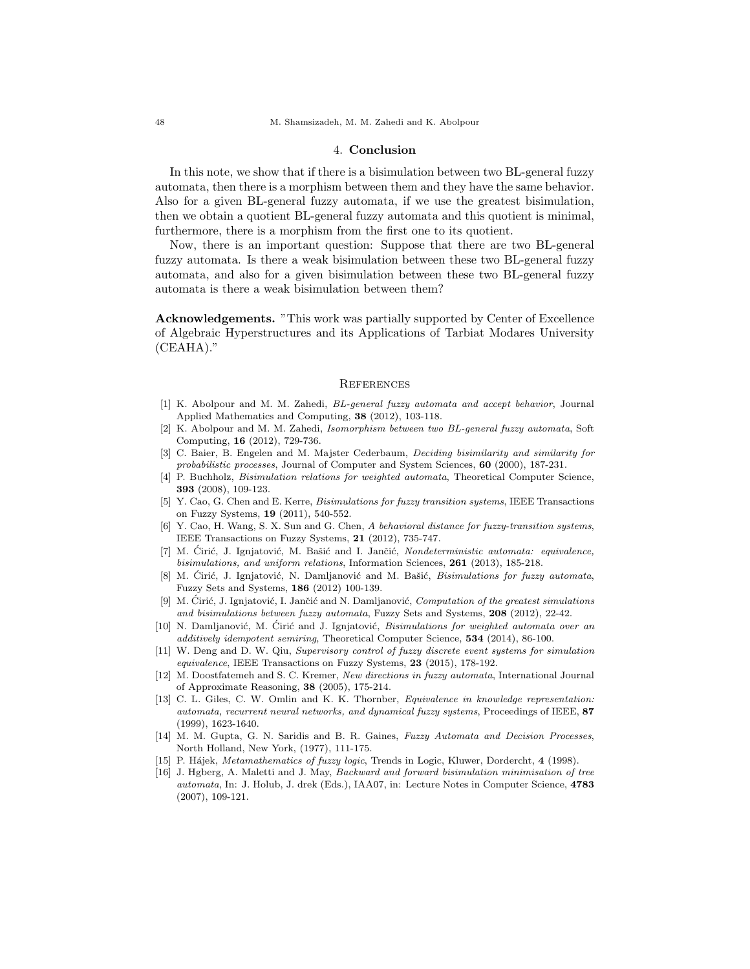#### 4. Conclusion

In this note, we show that if there is a bisimulation between two BL-general fuzzy automata, then there is a morphism between them and they have the same behavior. Also for a given BL-general fuzzy automata, if we use the greatest bisimulation, then we obtain a quotient BL-general fuzzy automata and this quotient is minimal, furthermore, there is a morphism from the first one to its quotient.

Now, there is an important question: Suppose that there are two BL-general fuzzy automata. Is there a weak bisimulation between these two BL-general fuzzy automata, and also for a given bisimulation between these two BL-general fuzzy automata is there a weak bisimulation between them?

Acknowledgements. "This work was partially supported by Center of Excellence of Algebraic Hyperstructures and its Applications of Tarbiat Modares University (CEAHA)."

### **REFERENCES**

- [1] K. Abolpour and M. M. Zahedi, BL-general fuzzy automata and accept behavior, Journal Applied Mathematics and Computing, 38 (2012), 103-118.
- [2] K. Abolpour and M. M. Zahedi, Isomorphism between two BL-general fuzzy automata, Soft Computing, 16 (2012), 729-736.
- [3] C. Baier, B. Engelen and M. Majster Cederbaum, Deciding bisimilarity and similarity for probabilistic processes, Journal of Computer and System Sciences, 60 (2000), 187-231.
- [4] P. Buchholz, Bisimulation relations for weighted automata, Theoretical Computer Science, 393 (2008), 109-123.
- [5] Y. Cao, G. Chen and E. Kerre, Bisimulations for fuzzy transition systems, IEEE Transactions on Fuzzy Systems, 19 (2011), 540-552.
- [6] Y. Cao, H. Wang, S. X. Sun and G. Chen, A behavioral distance for fuzzy-transition systems, IEEE Transactions on Fuzzy Systems, 21 (2012), 735-747.
- [7] M. Cirić, J. Ignjatović, M. Bašić and I. Jančić, Nondeterministic automata: equivalence, bisimulations, and uniform relations, Information Sciences, 261 (2013), 185-218.
- [8] M. Ćirić, J. Ignjatović, N. Damljanović and M. Bašić, *Bisimulations for fuzzy automata*, Fuzzy Sets and Systems, 186 (2012) 100-139.
- [9] M. Ciric, J. Ignjatovic, I. Jančic and N. Damljanovic, Computation of the greatest simulations and bisimulations between fuzzy automata, Fuzzy Sets and Systems, 208 (2012), 22-42.
- [10] N. Damljanović, M. Cirić and J. Ignjatović, *Bisimulations for weighted automata over an* additively idempotent semiring, Theoretical Computer Science, 534 (2014), 86-100.
- [11] W. Deng and D. W. Qiu, Supervisory control of fuzzy discrete event systems for simulation equivalence, IEEE Transactions on Fuzzy Systems, 23 (2015), 178-192.
- [12] M. Doostfatemeh and S. C. Kremer, New directions in fuzzy automata, International Journal of Approximate Reasoning, 38 (2005), 175-214.
- [13] C. L. Giles, C. W. Omlin and K. K. Thornber, *Equivalence in knowledge representation*: automata, recurrent neural networks, and dynamical fuzzy systems, Proceedings of IEEE, 87 (1999), 1623-1640.
- [14] M. M. Gupta, G. N. Saridis and B. R. Gaines, Fuzzy Automata and Decision Processes, North Holland, New York, (1977), 111-175.
- [15] P. Hájek, Metamathematics of fuzzy logic, Trends in Logic, Kluwer, Dordercht, 4 (1998).
- [16] J. Hgberg, A. Maletti and J. May, Backward and forward bisimulation minimisation of tree automata, In: J. Holub, J. drek (Eds.), IAA07, in: Lecture Notes in Computer Science, 4783 (2007), 109-121.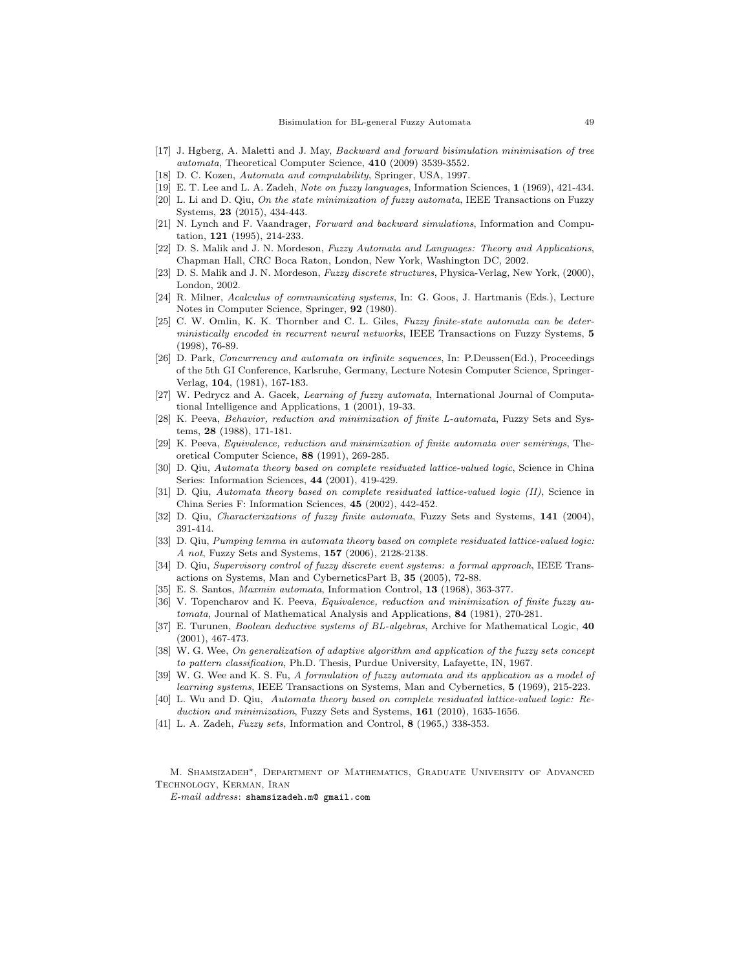- [17] J. Hgberg, A. Maletti and J. May, Backward and forward bisimulation minimisation of tree automata, Theoretical Computer Science, 410 (2009) 3539-3552.
- [18] D. C. Kozen, Automata and computability, Springer, USA, 1997.
- [19] E. T. Lee and L. A. Zadeh, Note on fuzzy languages, Information Sciences, 1 (1969), 421-434.
- [20] L. Li and D. Qiu, On the state minimization of fuzzy automata, IEEE Transactions on Fuzzy Systems, 23 (2015), 434-443.
- [21] N. Lynch and F. Vaandrager, Forward and backward simulations, Information and Computation, 121 (1995), 214-233.
- [22] D. S. Malik and J. N. Mordeson, Fuzzy Automata and Languages: Theory and Applications, Chapman Hall, CRC Boca Raton, London, New York, Washington DC, 2002.
- [23] D. S. Malik and J. N. Mordeson, Fuzzy discrete structures, Physica-Verlag, New York, (2000), London, 2002.
- [24] R. Milner, Acalculus of communicating systems, In: G. Goos, J. Hartmanis (Eds.), Lecture Notes in Computer Science, Springer, 92 (1980).
- [25] C. W. Omlin, K. K. Thornber and C. L. Giles, Fuzzy finite-state automata can be deterministically encoded in recurrent neural networks, IEEE Transactions on Fuzzy Systems, 5 (1998), 76-89.
- [26] D. Park, Concurrency and automata on infinite sequences, In: P.Deussen(Ed.), Proceedings of the 5th GI Conference, Karlsruhe, Germany, Lecture Notesin Computer Science, Springer-Verlag, 104, (1981), 167-183.
- [27] W. Pedrycz and A. Gacek, Learning of fuzzy automata, International Journal of Computational Intelligence and Applications, 1 (2001), 19-33.
- [28] K. Peeva, Behavior, reduction and minimization of finite L-automata, Fuzzy Sets and Systems, 28 (1988), 171-181.
- [29] K. Peeva, Equivalence, reduction and minimization of finite automata over semirings, Theoretical Computer Science, 88 (1991), 269-285.
- [30] D. Qiu, Automata theory based on complete residuated lattice-valued logic, Science in China Series: Information Sciences, 44 (2001), 419-429.
- [31] D. Qiu, Automata theory based on complete residuated lattice-valued logic (II), Science in China Series F: Information Sciences, 45 (2002), 442-452.
- [32] D. Qiu, Characterizations of fuzzy finite automata, Fuzzy Sets and Systems, 141 (2004), 391-414.
- [33] D. Qiu, Pumping lemma in automata theory based on complete residuated lattice-valued logic: A not, Fuzzy Sets and Systems, 157 (2006), 2128-2138.
- [34] D. Qiu, Supervisory control of fuzzy discrete event systems: a formal approach, IEEE Transactions on Systems, Man and CyberneticsPart B, 35 (2005), 72-88.
- [35] E. S. Santos, Maxmin automata, Information Control, 13 (1968), 363-377.
- [36] V. Topencharov and K. Peeva, Equivalence, reduction and minimization of finite fuzzy automata, Journal of Mathematical Analysis and Applications, 84 (1981), 270-281.
- [37] E. Turunen, Boolean deductive systems of BL-algebras, Archive for Mathematical Logic, 40 (2001), 467-473.
- [38] W. G. Wee, On generalization of adaptive algorithm and application of the fuzzy sets concept to pattern classification, Ph.D. Thesis, Purdue University, Lafayette, IN, 1967.
- [39] W. G. Wee and K. S. Fu, A formulation of fuzzy automata and its application as a model of learning systems, IEEE Transactions on Systems, Man and Cybernetics, 5 (1969), 215-223.
- [40] L. Wu and D. Qiu, Automata theory based on complete residuated lattice-valued logic: Reduction and minimization, Fuzzy Sets and Systems, 161 (2010), 1635-1656.
- [41] L. A. Zadeh, Fuzzy sets, Information and Control, 8 (1965,) 338-353.

M. Shamsizadeh∗, Department of Mathematics, Graduate University of Advanced Technology, Kerman, Iran

E-mail address: shamsizadeh.m@ gmail.com